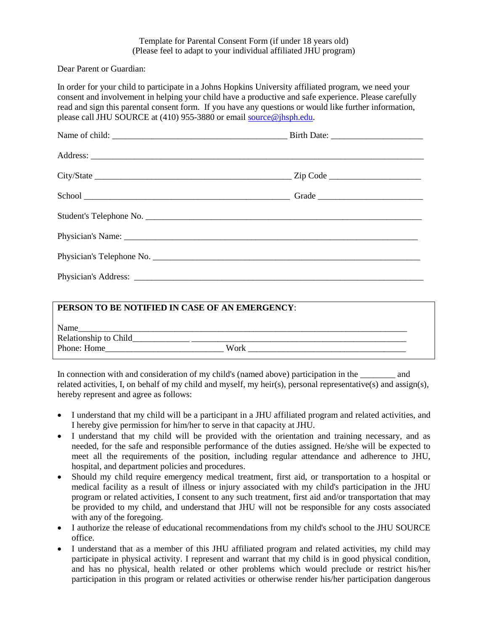## Template for Parental Consent Form (if under 18 years old) (Please feel to adapt to your individual affiliated JHU program)

Dear Parent or Guardian:

In order for your child to participate in a Johns Hopkins University affiliated program, we need your consent and involvement in helping your child have a productive and safe experience. Please carefully read and sign this parental consent form. If you have any questions or would like further information, please call JHU SOURCE at (410) 955-3880 or email [source@jhsph.edu.](mailto:source@jhsph.edu)

| Physician's Telephone No. |  |
|---------------------------|--|
|                           |  |

| PERSON TO BE NOTIFIED IN CASE OF AN EMERGENCY: |      |
|------------------------------------------------|------|
| Name                                           |      |
| Relationship to Child_                         |      |
| Phone: Home                                    | Work |

In connection with and consideration of my child's (named above) participation in the and related activities, I, on behalf of my child and myself, my heir(s), personal representative(s) and assign(s), hereby represent and agree as follows:

- I understand that my child will be a participant in a JHU affiliated program and related activities, and I hereby give permission for him/her to serve in that capacity at JHU.
- I understand that my child will be provided with the orientation and training necessary, and as needed, for the safe and responsible performance of the duties assigned. He/she will be expected to meet all the requirements of the position, including regular attendance and adherence to JHU, hospital, and department policies and procedures.
- Should my child require emergency medical treatment, first aid, or transportation to a hospital or medical facility as a result of illness or injury associated with my child's participation in the JHU program or related activities, I consent to any such treatment, first aid and/or transportation that may be provided to my child, and understand that JHU will not be responsible for any costs associated with any of the foregoing.
- I authorize the release of educational recommendations from my child's school to the JHU SOURCE office.
- I understand that as a member of this JHU affiliated program and related activities, my child may participate in physical activity. I represent and warrant that my child is in good physical condition, and has no physical, health related or other problems which would preclude or restrict his/her participation in this program or related activities or otherwise render his/her participation dangerous